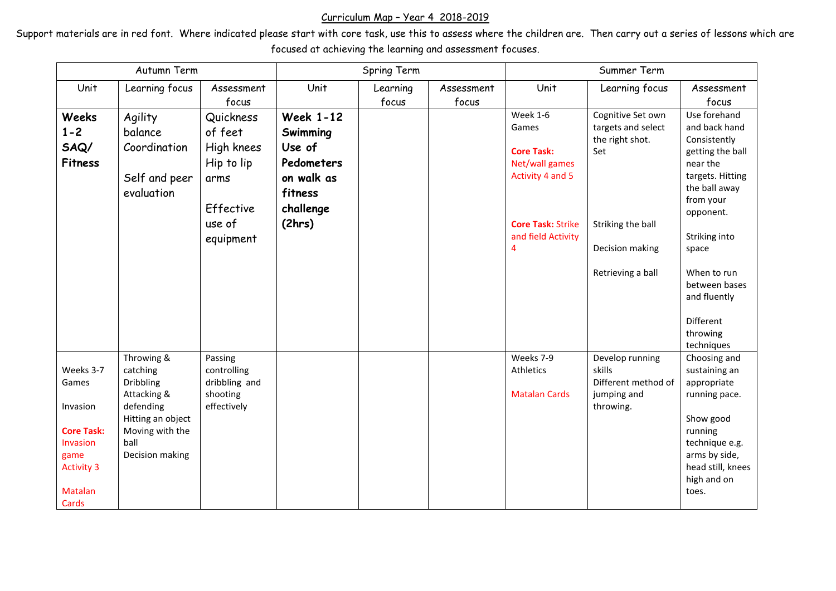## Curriculum Map – Year 4 2018-2019

Support materials are in red font. Where indicated please start with core task, use this to assess where the children are. Then carry out a series of lessons which are focused at achieving the learning and assessment focuses.

| Autumn Term                                                                                                             |                                                                                                                                    |                                                                                              | Spring Term                                                                                          |                   |                     | Summer Term                                                                                                                                             |                                                                                                                                |                                                                                                                                                                                                                                                               |
|-------------------------------------------------------------------------------------------------------------------------|------------------------------------------------------------------------------------------------------------------------------------|----------------------------------------------------------------------------------------------|------------------------------------------------------------------------------------------------------|-------------------|---------------------|---------------------------------------------------------------------------------------------------------------------------------------------------------|--------------------------------------------------------------------------------------------------------------------------------|---------------------------------------------------------------------------------------------------------------------------------------------------------------------------------------------------------------------------------------------------------------|
| Unit                                                                                                                    | Learning focus                                                                                                                     | Assessment<br>focus                                                                          | Unit                                                                                                 | Learning<br>focus | Assessment<br>focus | Unit                                                                                                                                                    | Learning focus                                                                                                                 | Assessment<br>focus                                                                                                                                                                                                                                           |
| <b>Weeks</b><br>$1 - 2$<br>SAQ/<br><b>Fitness</b>                                                                       | Agility<br>balance<br>Coordination<br>Self and peer<br>evaluation                                                                  | Quickness<br>of feet<br>High knees<br>Hip to lip<br>arms<br>Effective<br>use of<br>equipment | <b>Week 1-12</b><br>Swimming<br>Use of<br>Pedometers<br>on walk as<br>fitness<br>challenge<br>(2hrs) |                   |                     | <b>Week 1-6</b><br>Games<br><b>Core Task:</b><br>Net/wall games<br>Activity 4 and 5<br><b>Core Task: Strike</b><br>and field Activity<br>$\overline{4}$ | Cognitive Set own<br>targets and select<br>the right shot.<br>Set<br>Striking the ball<br>Decision making<br>Retrieving a ball | Use forehand<br>and back hand<br>Consistently<br>getting the ball<br>near the<br>targets. Hitting<br>the ball away<br>from your<br>opponent.<br>Striking into<br>space<br>When to run<br>between bases<br>and fluently<br>Different<br>throwing<br>techniques |
| Weeks 3-7<br>Games<br>Invasion<br><b>Core Task:</b><br>Invasion<br>game<br><b>Activity 3</b><br><b>Matalan</b><br>Cards | Throwing &<br>catching<br>Dribbling<br>Attacking &<br>defending<br>Hitting an object<br>Moving with the<br>ball<br>Decision making | Passing<br>controlling<br>dribbling and<br>shooting<br>effectively                           |                                                                                                      |                   |                     | Weeks 7-9<br>Athletics<br><b>Matalan Cards</b>                                                                                                          | Develop running<br>skills<br>Different method of<br>jumping and<br>throwing.                                                   | Choosing and<br>sustaining an<br>appropriate<br>running pace.<br>Show good<br>running<br>technique e.g.<br>arms by side,<br>head still, knees<br>high and on<br>toes.                                                                                         |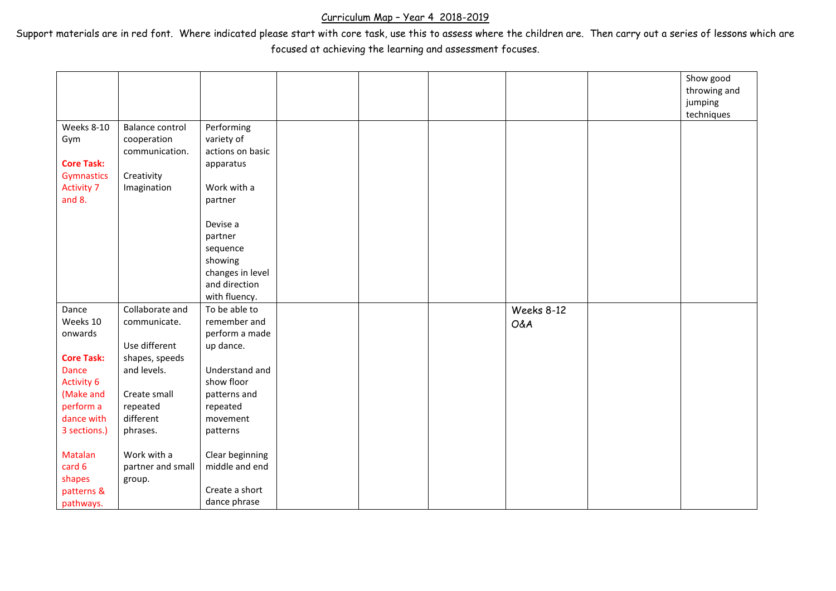## Curriculum Map – Year 4 2018-2019

Support materials are in red font. Where indicated please start with core task, use this to assess where the children are. Then carry out a series of lessons which are focused at achieving the learning and assessment focuses.

|                   |                        |                  |  |                | Show good<br>throwing and |
|-------------------|------------------------|------------------|--|----------------|---------------------------|
|                   |                        |                  |  |                | jumping<br>techniques     |
| Weeks 8-10        | <b>Balance control</b> | Performing       |  |                |                           |
| Gym               | cooperation            | variety of       |  |                |                           |
|                   | communication.         | actions on basic |  |                |                           |
| <b>Core Task:</b> |                        | apparatus        |  |                |                           |
| <b>Gymnastics</b> | Creativity             |                  |  |                |                           |
| <b>Activity 7</b> | Imagination            | Work with a      |  |                |                           |
| and $8.$          |                        | partner          |  |                |                           |
|                   |                        | Devise a         |  |                |                           |
|                   |                        | partner          |  |                |                           |
|                   |                        | sequence         |  |                |                           |
|                   |                        | showing          |  |                |                           |
|                   |                        | changes in level |  |                |                           |
|                   |                        | and direction    |  |                |                           |
|                   |                        | with fluency.    |  |                |                           |
| Dance             | Collaborate and        | To be able to    |  | Weeks 8-12     |                           |
| Weeks 10          | communicate.           | remember and     |  | <b>O&amp;A</b> |                           |
| onwards           |                        | perform a made   |  |                |                           |
|                   | Use different          | up dance.        |  |                |                           |
| <b>Core Task:</b> | shapes, speeds         |                  |  |                |                           |
| Dance             | and levels.            | Understand and   |  |                |                           |
| <b>Activity 6</b> |                        | show floor       |  |                |                           |
| (Make and         | Create small           | patterns and     |  |                |                           |
| perform a         | repeated               | repeated         |  |                |                           |
| dance with        | different              | movement         |  |                |                           |
| 3 sections.)      | phrases.               | patterns         |  |                |                           |
| <b>Matalan</b>    | Work with a            | Clear beginning  |  |                |                           |
| card 6            | partner and small      | middle and end   |  |                |                           |
| shapes            | group.                 |                  |  |                |                           |
| patterns &        |                        | Create a short   |  |                |                           |
| pathways.         |                        | dance phrase     |  |                |                           |